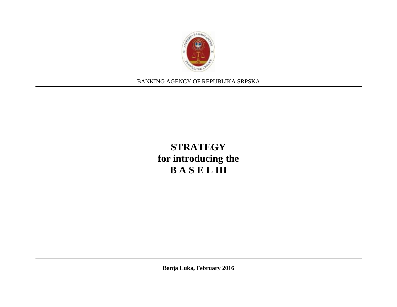

BANKING AGENCY OF REPUBLIKA SRPSKA

# **STRATEGY for introducing the B A S E L III**

**Banja Luka, February 2016**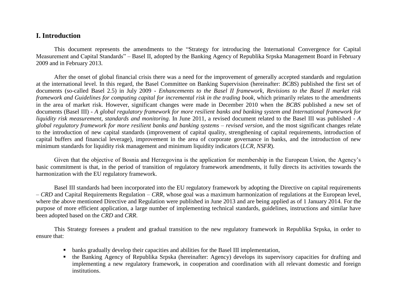#### **I. Introduction**

This document represents the amendments to the "Strategy for introducing the International Convergence for Capital Measurement and Capital Standards" – Basel II, adopted by the Banking Agency of Republika Srpska Management Board in February 2009 and in February 2013.

After the onset of global financial crisis there was a need for the improvement of generally accepted standards and regulation at the international level. In this regard, the Basel Committee on Banking Supervision (hereinafter: *BCBS*) published the first set of documents (so-called Basel 2.5) in July 2009 - *Enhancements to the Basel II framework, Revisions to the Basel II market risk framework and Guidelines for computing capital for incremental risk in the trading book*, which primarily relates to the amendments in the area of market risk. However, significant changes were made in December 2010 when the *BCBS* published a new set of documents (Basel III) - *A global regulatory framework for more resilient banks and banking system and International framework for liquidity risk measurement, standards and monitoring*. In June 2011, a revised document related to the Basel III was published - *A global regulatory framework for more resilient banks and banking systems – revised version*, and the most significant changes relate to the introduction of new capital standards (improvement of capital quality, strengthening of capital requirements, introduction of capital buffers and financial leverage), improvement in the area of corporate governance in banks, and the introduction of new minimum standards for liquidity risk management and minimum liquidity indicators (*LCR, NSFR*).

Given that the objective of Bosnia and Herzegovina is the application for membership in the European Union, the Agency's basic commitment is that, in the period of transition of regulatory framework amendments, it fully directs its activities towards the harmonization with the EU regulatory framework.

Basel III standards had been incorporated into the EU regulatory framework by adopting the Directive on capital requirements – *CRD* and Capital Requirements Regulation – *CRR*, whose goal was a maximum harmonization of regulations at the European level, where the above mentioned Directive and Regulation were published in June 2013 and are being applied as of 1 January 2014. For the purpose of more efficient application, a large number of implementing technical standards, guidelines, instructions and similar have been adopted based on the *CRD* and *CRR*.

This Strategy foresees a prudent and gradual transition to the new regulatory framework in Republika Srpska, in order to ensure that:

- banks gradually develop their capacities and abilities for the Basel III implementation,
- the Banking Agency of Republika Srpska (hereinafter: Agency) develops its supervisory capacities for drafting and implementing a new regulatory framework, in cooperation and coordination with all relevant domestic and foreign institutions.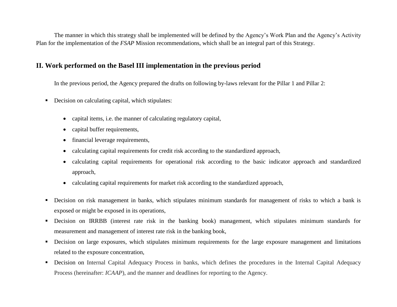The manner in which this strategy shall be implemented will be defined by the Agency's Work Plan and the Agency's Activity Plan for the implementation of the *FSAP* Mission recommendations, which shall be an integral part of this Strategy.

### **II. Work performed on the Basel III implementation in the previous period**

In the previous period, the Agency prepared the drafts on following by-laws relevant for the Pillar 1 and Pillar 2:

- Decision on calculating capital, which stipulates:
	- capital items, i.e. the manner of calculating regulatory capital,
	- capital buffer requirements,
	- financial leverage requirements,
	- calculating capital requirements for credit risk according to the standardized approach,
	- calculating capital requirements for operational risk according to the basic indicator approach and standardized approach,
	- calculating capital requirements for market risk according to the standardized approach,
- Decision on risk management in banks, which stipulates minimum standards for management of risks to which a bank is exposed or might be exposed in its operations,
- Decision on IRRBB (interest rate risk in the banking book) management, which stipulates minimum standards for measurement and management of interest rate risk in the banking book,
- Decision on large exposures, which stipulates minimum requirements for the large exposure management and limitations related to the exposure concentration,
- Decision on Internal Capital Adequacy Process in banks, which defines the procedures in the Internal Capital Adequacy Process (hereinafter: *ICAAP*), and the manner and deadlines for reporting to the Agency.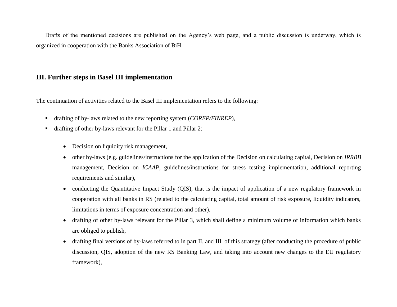Drafts of the mentioned decisions are published on the Agency's web page, and a public discussion is underway, which is organized in cooperation with the Banks Association of BiH.

#### **III. Further steps in Basel III implementation**

The continuation of activities related to the Basel III implementation refers to the following:

- drafting of by-laws related to the new reporting system (*COREP/FINREP*),
- drafting of other by-laws relevant for the Pillar 1 and Pillar 2:
	- Decision on liquidity risk management,
	- other by-laws (e.g. guidelines/instructions for the application of the Decision on calculating capital, Decision on *IRRBB* management, Decision on *ICAAP*, guidelines/instructions for stress testing implementation, additional reporting requirements and similar),
	- conducting the Quantitative Impact Study (QIS), that is the impact of application of a new regulatory framework in cooperation with all banks in RS (related to the calculating capital, total amount of risk exposure, liquidity indicators, limitations in terms of exposure concentration and other),
	- drafting of other by-laws relevant for the Pillar 3, which shall define a minimum volume of information which banks are obliged to publish,
	- drafting final versions of by-laws referred to in part II. and III. of this strategy (after conducting the procedure of public discussion, QIS, adoption of the new RS Banking Law, and taking into account new changes to the EU regulatory framework),